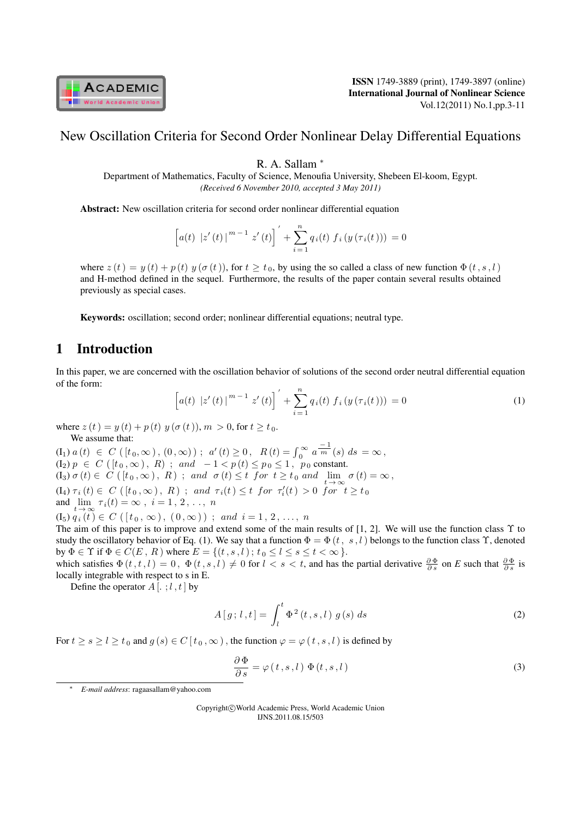

### New Oscillation Criteria for Second Order Nonlinear Delay Differential Equations

R. A. Sallam *<sup>∗</sup>*

Department of Mathematics, Faculty of Science, Menoufia University, Shebeen El-koom, Egypt. *(Received 6 November 2010, accepted 3 May 2011)*

Abstract: New oscillation criteria for second order nonlinear differential equation

$$
\[a(t) |z'(t)|^{m-1} |z'(t)|' + \sum_{i=1}^{n} q_i(t) f_i(y(\tau_i(t))) = 0\]
$$

where  $z(t) = y(t) + p(t) y(\sigma(t))$ , for  $t \ge t_0$ , by using the so called a class of new function  $\Phi(t, s, l)$ and H-method defined in the sequel. Furthermore, the results of the paper contain several results obtained previously as special cases.

Keywords: oscillation; second order; nonlinear differential equations; neutral type.

### 1 Introduction

In this paper, we are concerned with the oscillation behavior of solutions of the second order neutral differential equation of the form:

$$
\[a(t) |z'(t)|^{m-1} |z'(t)|' + \sum_{i=1}^{n} q_i(t) f_i(y(\tau_i(t))) = 0 \tag{1}
$$

where  $z(t) = y(t) + p(t) y(\sigma(t)), m > 0$ , for  $t \ge t_0$ . We assume that:

 $(I_1) \ a \ (t) \ \in \ C \ ( \ [t_0, \infty) \, , \ (0, \infty) \ ) \ ; \ \ a' \ (t) \geq 0 \, , \ \ R \ (t) = \int_0^\infty a^{\frac{-1}{m}}(s) \ ds = \infty \, ,$  $(I_2) p \in C([t_0,\infty), R)$ ; and  $-1 < p(t) \le p_0 \le 1$ ,  $p_0$  constant.  $(I_3) \sigma(t) \in C([t_0,\infty), R)$ ; and  $\sigma(t) \leq t$  for  $t \geq t_0$  and  $\lim_{t \to \infty} \sigma(t) = \infty$ ,  $(I_4) \tau_i(t) \in C([t_0,\infty), R)$ ; and  $\tau_i(t) \leq t$  for  $\tau'_i(t) > 0$  for  $t \geq t_0$ and  $\lim_{t \to \infty} \tau_i(t) = \infty$ ,  $i = 1, 2, ..., n$  $(I_5) q_i(t) \in C([t_0, \infty), (0, \infty))$ ; and  $i = 1, 2, ..., n$ 

The aim of this paper is to improve and extend some of the main results of [1, 2]. We will use the function class  $\Upsilon$  to study the oscillatory behavior of Eq. (1). We say that a function  $\Phi = \Phi(t, s, l)$  belongs to the function class  $\Upsilon$ , denoted by  $\Phi \in \Upsilon$  if  $\Phi \in C(E, R)$  where  $E = \{(t, s, l) ; t_0 \le l \le s \le t < \infty \}$ .

which satisfies  $\Phi(t, t, l) = 0$ ,  $\Phi(t, s, l) \neq 0$  for  $l < s < t$ , and has the partial derivative  $\frac{\partial \Phi}{\partial s}$  on *E* such that  $\frac{\partial \Phi}{\partial s}$  is locally integrable with respect to s in E.

Define the operator  $A$  [ $\cdot$ ;  $l$ ,  $t$ ] by

$$
A[g; l, t] = \int_{l}^{t} \Phi^{2}(t, s, l) g(s) ds
$$
 (2)

For  $t \ge s \ge l \ge t_0$  and  $g(s) \in C[t_0,\infty)$ , the function  $\varphi = \varphi(t,s,l)$  is defined by

$$
\frac{\partial \Phi}{\partial s} = \varphi(t, s, l) \Phi(t, s, l)
$$
\n(3)

*∗ E-mail address*: ragaasallam@yahoo.com

Copyright*⃝*c World Academic Press, World Academic Union IJNS.2011.08.15/503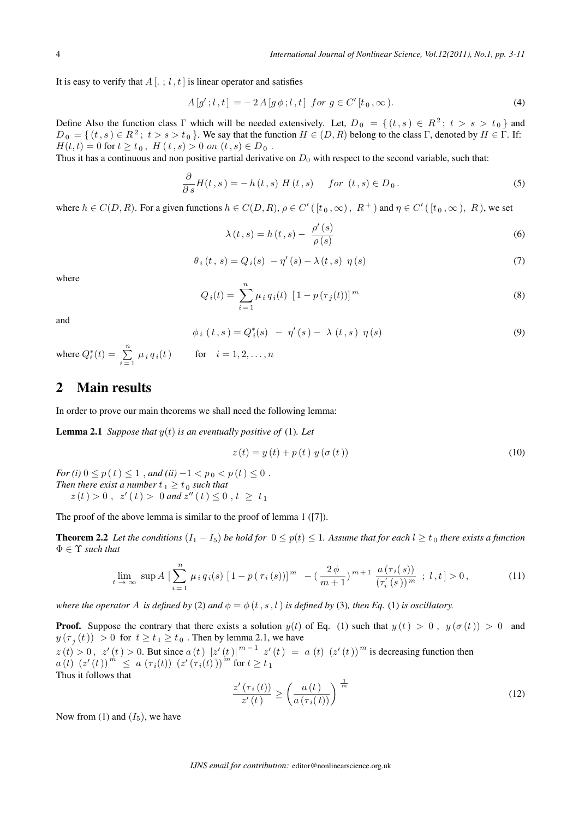It is easy to verify that  $A$  [ $\cdot$ ;  $l \cdot t$ ] is linear operator and satisfies

$$
A[g';l,t] = -2A[g\phi;l,t] \text{ for } g \in C'[t_0,\infty). \tag{4}
$$

Define Also the function class  $\Gamma$  which will be needed extensively. Let,  $D_0 = \{ (t, s) \in R^2; t > s > t_0 \}$  and  $D_0 = \{ (t, s) \in R^2; t > s > t_0 \}$ . We say that the function  $H \in (D, R)$  belong to the class  $\Gamma$ , denoted by  $H \in \Gamma$ . If:  $H(t,t) = 0$  for  $t \geq t_0$ ,  $H(t,s) > 0$  on  $(t,s) \in D_0$ .

Thus it has a continuous and non positive partial derivative on  $D_0$  with respect to the second variable, such that:

$$
\frac{\partial}{\partial s}H(t,s) = -h(t,s) H(t,s) \quad \text{for } (t,s) \in D_0.
$$
\n(5)

where  $h \in C(D, R)$ . For a given functions  $h \in C(D, R)$ ,  $\rho \in C'$  ( $[t_0, \infty)$ ,  $R^+$ ) and  $\eta \in C'$  ( $[t_0, \infty)$ ,  $R$ ), we set

$$
\lambda(t,s) = h(t,s) - \frac{\rho'(s)}{\rho(s)}
$$
\n(6)

$$
\theta_i(t,s) = Q_i(s) - \eta'(s) - \lambda(t,s) \eta(s)
$$
\n
$$
(7)
$$

where

$$
Q_i(t) = \sum_{i=1}^{n} \mu_i q_i(t) \left[1 - p(\tau_j(t))\right]^m
$$
\n(8)

and

$$
\phi_i(t,s) = Q_i^*(s) - \eta'(s) - \lambda(t,s) \eta(s)
$$
\n(9)

where  $Q_i^*(t) = \sum_{i=1}^{n}$  $\sum_{i=1} \mu_i q_i(t)$  for  $i = 1, 2, ..., n$ 

#### 2 Main results

In order to prove our main theorems we shall need the following lemma:

**Lemma 2.1** *Suppose that*  $y(t)$  *is an eventually positive of* (1)*. Let* 

$$
z(t) = y(t) + p(t) y(\sigma(t))
$$
\n(10)

*For* (*i*)  $0 \le p(t) \le 1$ , *and* (*ii*)  $-1 < p_0 < p(t) \le 0$ . *Then there exist a number*  $t<sub>1</sub> \ge t<sub>0</sub>$  such that  $z(t) > 0$ ,  $z'(t) > 0$  and  $z''(t) \leq 0$ ,  $t \geq t_1$ 

The proof of the above lemma is similar to the proof of lemma 1 ([7]).

**Theorem 2.2** Let the conditions  $(I_1 - I_5)$  be hold for  $0 \leq p(t) \leq 1$ . Assume that for each  $l \geq t_0$  there exists a function Φ *∈* Υ *such that*

$$
\lim_{t \to \infty} \sup A \left[ \sum_{i=1}^{n} \mu_i q_i(s) \left[ 1 - p(\tau_i(s)) \right]^m - \left( \frac{2\phi}{m+1} \right)^{m+1} \frac{a(\tau_i(s))}{(\tau'_i(s))^m} ; l, t \right] > 0, \tag{11}
$$

*where the operator* A *is defined by* (2) *and*  $\phi = \phi(t, s, l)$  *is defined by* (3)*, then Eq.* (1) *is oscillatory.* 

**Proof.** Suppose the contrary that there exists a solution  $y(t)$  of Eq. (1) such that  $y(t) > 0$ ,  $y(\sigma(t)) > 0$  and  $y(\tau_j(t)) > 0$  for  $t \ge t_1 \ge t_0$ . Then by lemma 2.1, we have  $z(t) > 0$ ,  $z'(t) > 0$ . But since  $a(t) |z'(t)|^{m-1} z'(t) = a(t) (z'(t))^m$  is decreasing function then  $a(t)$   $(z'(t))$   $\stackrel{m}{\le} a(\tau_i(t))$   $(z'(\tau_i(t)))$   $\stackrel{m}{\le}$  for  $t \ge t_1$ 

Thus it follows that

$$
\frac{z'\left(\tau_i\left(t\right)\right)}{z'\left(t\right)} \ge \left(\frac{a\left(t\right)}{a\left(\tau_i\left(t\right)\right)}\right)^{\frac{1}{m}}\tag{12}
$$

Now from (1) and  $(I_5)$ , we have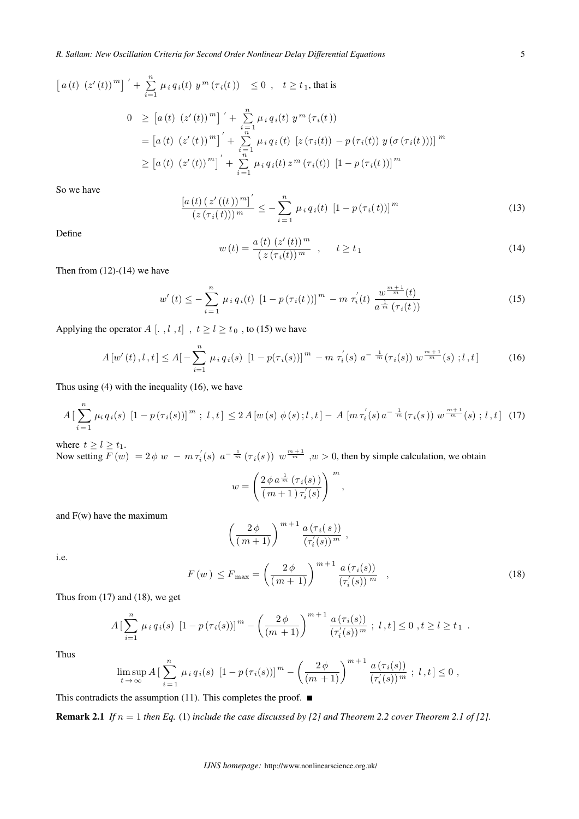*R. Sallam: New Oscillation Criteria for Second Order Nonlinear Delay Differential Equations* 5

$$
[a(t) (z'(t))m]' + \sum_{i=1}^{n} \mu_i q_i(t) y^m (\tau_i(t)) \le 0, t \ge t_1, \text{ that is}
$$
  

$$
0 \ge [a(t) (z'(t))m]' + \sum_{i=1}^{n} \mu_i q_i(t) y^m (\tau_i(t))
$$
  

$$
= [a(t) (z'(t))m]' + \sum_{i=1}^{n} \mu_i q_i(t) [z(\tau_i(t)) - p(\tau_i(t)) y(\sigma(\tau_i(t)))]m
$$
  

$$
\ge [a(t) (z'(t))m]' + \sum_{i=1}^{n} \mu_i q_i(t) z^m (\tau_i(t)) [1 - p(\tau_i(t))]m
$$

So we have

$$
\frac{\left[a\left(t\right)\left(z'\left(\left(t\right)\right)^{m}\right]'}{\left(z\left(\tau_{i}\left(t\right)\right)\right)^{m}} \leq -\sum_{i=1}^{n} \mu_{i} q_{i}\left(t\right) \left[1-p\left(\tau_{i}\left(t\right)\right)\right]^{m} \tag{13}
$$

Define

$$
w(t) = \frac{a(t) (z'(t))^m}{(z(\tau_i(t))^m}, \qquad t \ge t_1
$$
\n(14)

Then from  $(12)-(14)$  we have

$$
w'(t) \leq -\sum_{i=1}^{n} \mu_i q_i(t) \left[1 - p(\tau_i(t))]^m - m \tau_i'(t) \frac{w^{\frac{m+1}{m}}(t)}{a^{\frac{1}{m}}(\tau_i(t))}\right]
$$
(15)

Applying the operator  $A$  [ $, l, t$ ],  $t \ge l \ge t_0$ , to (15) we have

$$
A\left[w'(t),l,t\right] \le A\left[-\sum_{i=1}^{n} \mu_i q_i(s) \left[1 - p(\tau_i(s))\right]^m - m \tau_i'(s) a^{-\frac{1}{m}}(\tau_i(s)) w^{\frac{m+1}{m}}(s) ; l,t\right] \tag{16}
$$

Thus using (4) with the inequality (16), we have

$$
A\left[\sum_{i=1}^{n} \mu_i q_i(s) \left[1 - p(\tau_i(s))\right]^m; l, t\right] \le 2A\left[w(s) \phi(s); l, t\right] - A\left[m\tau_i'(s) a^{-\frac{1}{m}}(\tau_i(s)) w^{\frac{m+1}{m}}(s); l, t\right] (17)
$$

where  $t \geq l \geq t_1$ .

Now setting  $\overline{F}(w) = 2 \phi w - m \tau_i'(s) a^{-\frac{1}{m}} (\tau_i(s)) w^{\frac{m+1}{m}}$ ,  $w > 0$ , then by simple calculation, we obtain

$$
w = \left(\frac{2 \phi \, a^{\frac{1}{m}} \left(\tau_i(s)\right)}{\left(m+1\right) \tau'_i(s)}\right)^{\,m},
$$

and F(w) have the maximum

$$
\left(\frac{2\phi}{(m+1)}\right)^{m+1} \frac{a(\tau_i(s))}{(\tau'_i(s))^m},
$$

i.e.

$$
F(w) \le F_{\max} = \left(\frac{2\phi}{(m+1)}\right)^{m+1} \frac{a\left(\tau_i(s)\right)}{\left(\tau'_i(s)\right)^m} \quad , \tag{18}
$$

Thus from  $(17)$  and  $(18)$ , we get

$$
A\left[\sum_{i=1}^n \mu_i q_i(s) \left[1 - p(\tau_i(s))\right]^m - \left(\frac{2\phi}{(m+1)}\right)^{m+1} \frac{a(\tau_i(s))}{(\tau'_i(s))^m} ; l, t\right] \leq 0 , t \geq l \geq t_1 .
$$

Thus

$$
\limsup_{t \to \infty} A \left[ \sum_{i=1}^n \mu_i q_i(s) \left[ 1 - p(\tau_i(s)) \right]^m - \left( \frac{2\phi}{(m+1)} \right)^{m+1} \frac{a(\tau_i(s))}{(\tau'_i(s))^m} ; l, t \right] \le 0 ,
$$

This contradicts the assumption (11). This completes the proof.  $\blacksquare$ 

**Remark 2.1** *If*  $n = 1$  *then Eq.* (1) *include the case discussed by [2] and Theorem 2.2 cover Theorem 2.1 of [2].*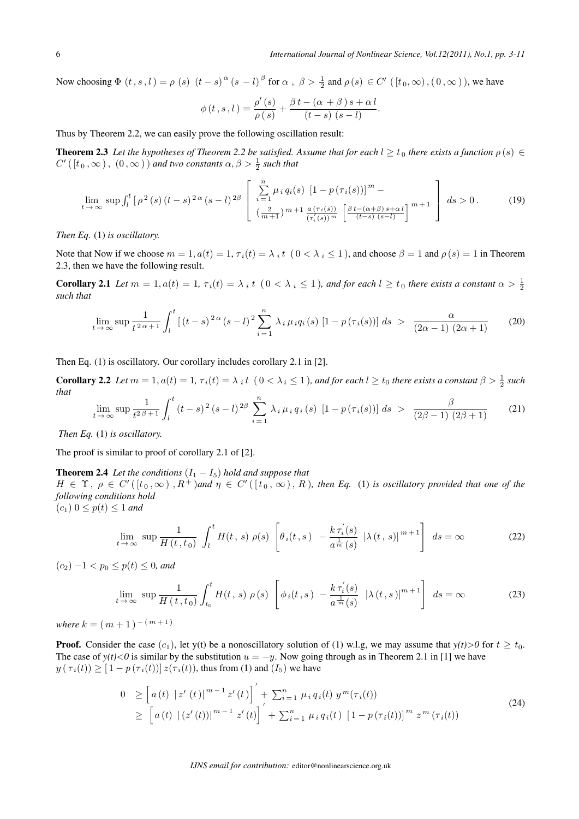Now choosing  $\Phi$   $(t, s, l) = \rho$   $(s)$   $(t - s)$ <sup> $\alpha$ </sup>  $(s - l)$ <sup> $\beta$ </sup> for  $\alpha$ ,  $\beta > \frac{1}{2}$  and  $\rho$   $(s) \in C'$   $([t_0, \infty), (0, \infty))$ , we have

$$
\phi(t,s,l) = \frac{\rho'(s)}{\rho(s)} + \frac{\beta t - (\alpha + \beta) s + \alpha l}{(t-s) (s-l)}.
$$

Thus by Theorem 2.2, we can easily prove the following oscillation result:

**Theorem 2.3** Let the hypotheses of Theorem 2.2 be satisfied. Assume that for each  $l \geq t_0$  there exists a function  $\rho(s) \in$  $C'$  ( $[t_0, \infty)$ ,  $(0, \infty)$ ) *and two constants*  $\alpha, \beta > \frac{1}{2}$  *such that* 

$$
\lim_{t \to \infty} \sup \int_{l}^{t} \left[ \rho^{2}(s) \left( t - s \right)^{2\alpha} (s - l)^{2\beta} \left[ \sum_{i=1}^{n} \mu_{i} q_{i}(s) \left[ 1 - p(\tau_{i}(s)) \right]^{m} - \left[ \frac{2}{\left( \frac{2}{m+1} \right)^{m+1} \frac{a(\tau_{i}(s))}{(\tau'_{i}(s))^{m}} \left[ \frac{\beta t - (\alpha + \beta) s + \alpha l}{(t - s) (s - l)} \right]^{m+1} } \right] ds > 0. \tag{19}
$$

*Then Eq.* (1) *is oscillatory.*

Note that Now if we choose  $m = 1$ ,  $a(t) = 1$ ,  $\tau_i(t) = \lambda_i t$  ( $0 < \lambda_i \le 1$ ), and choose  $\beta = 1$  and  $\rho(s) = 1$  in Theorem 2.3, then we have the following result.

**Corollary 2.1** Let  $m = 1, a(t) = 1, \tau_i(t) = \lambda_i t \ (0 \leq \lambda_i \leq 1)$ , and for each  $l \geq t_0$  there exists a constant  $\alpha > \frac{1}{2}$ *such that*

$$
\lim_{t \to \infty} \sup \frac{1}{t^{2\alpha+1}} \int_{l}^{t} \left[ (t-s)^{2\alpha} (s-l)^{2} \sum_{i=1}^{n} \lambda_{i} \mu_{i} q_{i}(s) \left[ 1 - p(\tau_{i}(s)) \right] ds > \frac{\alpha}{(2\alpha-1)(2\alpha+1)}
$$
(20)

Then Eq. (1) is oscillatory. Our corollary includes corollary 2.1 in [2].

**Corollary 2.2** Let  $m = 1$ ,  $a(t) = 1$ ,  $\tau_i(t) = \lambda_i t \ (0 < \lambda_i \le 1)$ , and for each  $l \ge t_0$  there exists a constant  $\beta > \frac{1}{2}$  such *that*

$$
\lim_{t \to \infty} \sup \frac{1}{t^{2\beta + 1}} \int_{l}^{t} (t - s)^2 (s - l)^{2\beta} \sum_{i = 1}^{n} \lambda_i \mu_i q_i(s) [1 - p(\tau_i(s))] ds > \frac{\beta}{(2\beta - 1)(2\beta + 1)}
$$
(21)

*Then Eq.* (1) *is oscillatory.*

The proof is similar to proof of corollary 2.1 of [2].

**Theorem 2.4** *Let the conditions*  $(I_1 - I_5)$  *hold and suppose that*  $H \in \Upsilon$ ,  $\rho \in C'([t_0,\infty), R^+)$ and  $\eta \in C'([t_0,\infty), R)$ , then Eq. (1) is oscillatory provided that one of the *following conditions hold*  $(c_1)$   $0 \leq p(t) \leq 1$  *and* 

$$
\lim_{t \to \infty} \sup \frac{1}{H(t, t_0)} \int_l^t H(t, s) \rho(s) \left[ \theta_i(t, s) - \frac{k \tau_i'(s)}{a^{\frac{1}{m}}(s)} |\lambda(t, s)|^{m+1} \right] ds = \infty
$$
 (22)

 $(c_2) -1 < p_0 < p(t) < 0$ , and

$$
\lim_{t \to \infty} \sup \frac{1}{H(t, t_0)} \int_{t_0}^t H(t, s) \rho(s) \left[ \phi_i(t, s) - \frac{k \tau_i'(s)}{a^{\frac{1}{m}}(s)} \left| \lambda(t, s) \right|^{m+1} \right] ds = \infty \tag{23}
$$

*where*  $k = (m + 1)^{-(m+1)}$ 

**Proof.** Consider the case  $(c_1)$ , let y(t) be a nonoscillatory solution of (1) w.l.g, we may assume that  $y(t) > 0$  for  $t \geq t_0$ . The case of *y*(t) < 0 is similar by the substitution  $u = -y$ . Now going through as in Theorem 2.1 in [1] we have  $y(\tau_i(t)) \geq [1 - p(\tau_i(t))] z(\tau_i(t))$ , thus from (1) and  $(I_5)$  we have

$$
0 \geq \left[ a(t) |z'(t)|^{m-1} z'(t) \right]' + \sum_{i=1}^{n} \mu_i q_i(t) y^m(\tau_i(t))
$$
  
 
$$
\geq \left[ a(t) |(z'(t))|^{m-1} z'(t) \right]' + \sum_{i=1}^{n} \mu_i q_i(t) [1 - p(\tau_i(t))]^m z^m(\tau_i(t))
$$
 (24)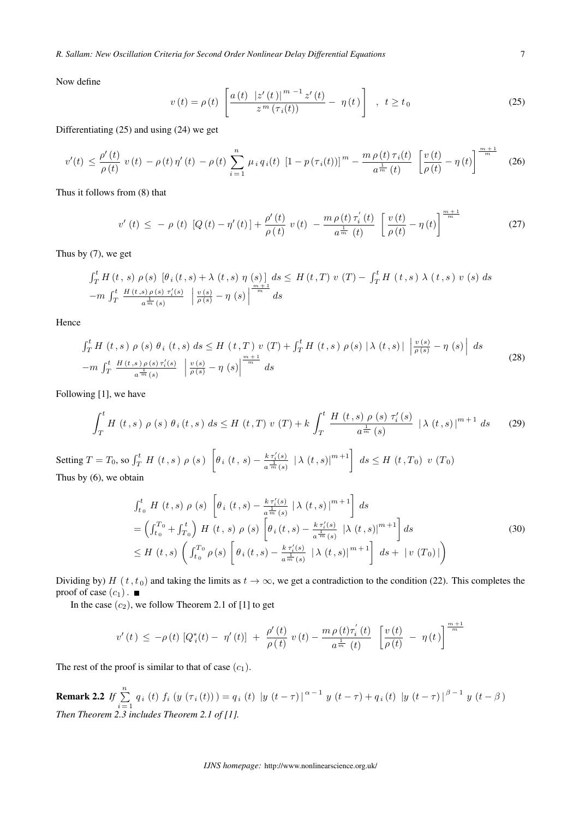Now define

$$
v(t) = \rho(t) \left[ \frac{a(t) |z'(t)|^{m-1} z'(t)}{z^m (\tau_i(t))} - \eta(t) \right], \ t \ge t_0
$$
 (25)

Differentiating (25) and using (24) we get

$$
v'(t) \leq \frac{\rho'(t)}{\rho(t)} \ v(t) - \rho(t) \eta'(t) - \rho(t) \sum_{i=1}^{n} \mu_i q_i(t) \ [1 - p(\tau_i(t))]^m - \frac{m \rho(t) \tau_i(t)}{a^{\frac{1}{m}}(t)} \left[ \frac{v(t)}{\rho(t)} - \eta(t) \right]^{\frac{m+1}{m}} \tag{26}
$$

Thus it follows from (8) that

$$
v'(t) \leq -\rho(t) \left[ Q(t) - \eta'(t) \right] + \frac{\rho'(t)}{\rho(t)} \ v(t) - \frac{m \rho(t) \tau_i'(t)}{a^{\frac{1}{m}}(t)} \left[ \frac{v(t)}{\rho(t)} - \eta(t) \right]^{\frac{m+1}{m}} \tag{27}
$$

Thus by (7), we get

$$
\int_{T}^{t} H(t, s) \rho(s) \left[\theta_{i}(t, s) + \lambda(t, s) \eta(s)\right] ds \leq H(t, T) v(T) - \int_{T}^{t} H(t, s) \lambda(t, s) v(s) ds
$$
  
-
$$
m \int_{T}^{t} \frac{H(t, s) \rho(s) \gamma'_{i}(s)}{a^{\frac{1}{m}}(s)} \left| \frac{v(s)}{\rho(s)} - \eta(s) \right|^{m} ds
$$

Hence

$$
\int_{T}^{t} H(t,s) \rho(s) \theta_{i}(t,s) ds \leq H(t,T) v(T) + \int_{T}^{t} H(t,s) \rho(s) |\lambda(t,s)| \left| \frac{v(s)}{\rho(s)} - \eta(s) \right| ds
$$
\n
$$
-m \int_{T}^{t} \frac{H(t,s) \rho(s) \tau'_{i}(s)}{a^{\frac{1}{m}}(s)} \left| \frac{v(s)}{\rho(s)} - \eta(s) \right|^{m+1} ds
$$
\n(28)

Following [1], we have

$$
\int_{T}^{t} H(t,s) \rho(s) \theta_{i}(t,s) ds \leq H(t,T) \nu(T) + k \int_{T}^{t} \frac{H(t,s) \rho(s) \tau'_{i}(s)}{a^{\frac{1}{m}}(s)} |\lambda(t,s)|^{m+1} ds \qquad (29)
$$

Setting  $T = T_0$ , so  $\int_T^t H(t, s) \rho(s)$  $\sqrt{2}$  $\theta_i(t, s) - \frac{k \, \tau'_i(s)}{1}$  $\frac{k \tau'_{i}(s)}{a \frac{1}{m}(s)}$  |  $\lambda$  (*t*, *s*)|<sup>*m*+1</sub> | *ds* ≤ *H* (*t*, *T*<sub>0</sub>) *v* (*T*<sub>0</sub>)</sup> Thus by (6), we obtain

$$
\int_{t_0}^{t} H(t,s) \rho(s) \left[ \theta_i(t,s) - \frac{k \tau_i'(s)}{a^{\frac{1}{m}}(s)} |\lambda(t,s)|^{m+1} \right] ds
$$
\n
$$
= \left( \int_{t_0}^{T_0} + \int_{T_0}^{t} \right) H(t,s) \rho(s) \left[ \theta_i(t,s) - \frac{k \tau_i'(s)}{a^{\frac{1}{m}}(s)} |\lambda(t,s)|^{m+1} \right] ds
$$
\n
$$
\leq H(t,s) \left( \int_{t_0}^{T_0} \rho(s) \left[ \theta_i(t,s) - \frac{k \tau_i'(s)}{a^{\frac{1}{m}}(s)} |\lambda(t,s)|^{m+1} \right] ds + |v(T_0)| \right)
$$
\n(30)

Dividing by)  $H(t, t_0)$  and taking the limits as  $t \to \infty$ , we get a contradiction to the condition (22). This completes the proof of case  $(c_1)$ .

In the case  $(c_2)$ , we follow Theorem 2.1 of [1] to get

$$
v'(t) \leq -\rho(t) \left[Q_i^*(t) - \eta'(t)\right] + \frac{\rho'(t)}{\rho(t)} \, v(t) - \frac{m \, \rho(t) \tau_i^{'}(t)}{a^{\frac{1}{m}}(t)} \left[\frac{v(t)}{\rho(t)} - \eta(t)\right]^{\frac{m+1}{m}}
$$

The rest of the proof is similar to that of case  $(c_1)$ .

Remark 2.2 *If* <sup>∑</sup>  $\sum_{i=1}^{n} q_i(t) f_i(y(\tau_i(t))) = q_i(t) |y(t-\tau)|^{\alpha-1} y(t-\tau) + q_i(t) |y(t-\tau)|^{\beta-1} y(t-\beta)$ *Then Theorem 2.3 includes Theorem 2.1 of [1].*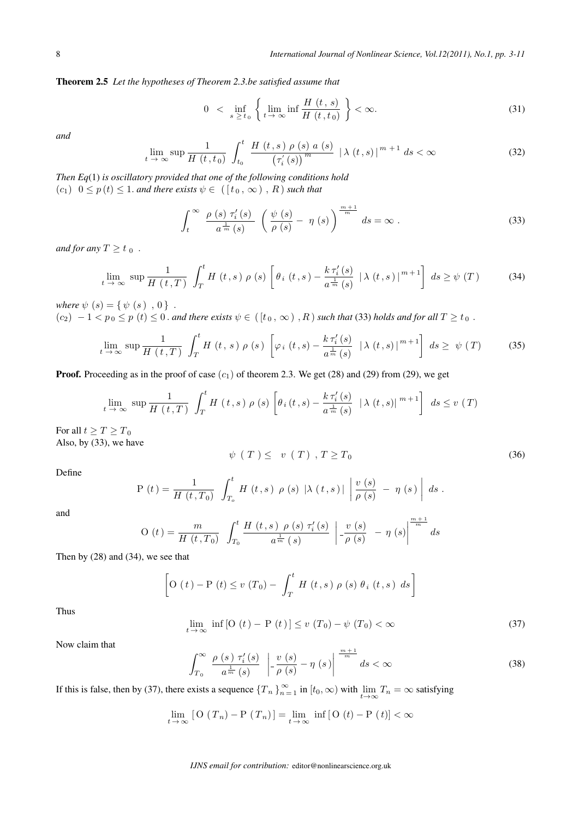Theorem 2.5 *Let the hypotheses of Theorem 2.3.be satisfied assume that*

$$
0 < \inf_{s \ge t_0} \left\{ \lim_{t \to \infty} \inf \frac{H(t, s)}{H(t, t_0)} \right\} < \infty. \tag{31}
$$

*and*

$$
\lim_{t \to \infty} \sup \frac{1}{H(t, t_0)} \int_{t_0}^t \frac{H(t, s) \rho(s) a(s)}{\left(\tau'_i(s)\right)^m} \left| \lambda(t, s) \right|^{m+1} ds < \infty \tag{32}
$$

*Then Eq*(1) *is oscillatory provided that one of the following conditions hold*  $(c_1)$   $0 \leq p(t) \leq 1$ *. and there exists*  $\psi \in ([t_0, \infty), R)$  *such that* 

$$
\int_{t}^{\infty} \frac{\rho(s) \tau'_{i}(s)}{a^{\frac{1}{m}}(s)} \left( \frac{\psi(s)}{\rho(s)} - \eta(s) \right)^{\frac{m+1}{m}} ds = \infty.
$$
 (33)

*and for any*  $T \geq t_0$ .

$$
\lim_{t \to \infty} \sup \frac{1}{H(t,T)} \int_{T}^{t} H(t,s) \rho(s) \left[ \theta_i(t,s) - \frac{k \tau_i'(s)}{a^{\frac{1}{m}}(s)} \left| \lambda(t,s) \right|^{m+1} \right] ds \geq \psi(T) \tag{34}
$$

*where*  $\psi$   $(s) = \{ \psi(s), 0 \}$ .

 $(c_2) - 1 < p_0 \le p(t) \le 0$ . *and there exists*  $\psi \in ([t_0, \infty), R)$  *such that* (33) *holds and for all*  $T \ge t_0$ .

$$
\lim_{t \to \infty} \sup \frac{1}{H(t,T)} \int_{T}^{t} H(t,s) \rho(s) \left[ \varphi_{i}(t,s) - \frac{k \, \tau_{i}'(s)}{a^{\frac{1}{m}}(s)} \, \left| \lambda(t,s) \right|^{m+1} \right] \, ds \geq \, \psi(T) \tag{35}
$$

**Proof.** Proceeding as in the proof of case  $(c_1)$  of theorem 2.3. We get (28) and (29) from (29), we get

$$
\lim_{t \to \infty} \sup \frac{1}{H(t,T)} \int_{T}^{t} H(t,s) \rho(s) \left[ \theta_i(t,s) - \frac{k \tau'_i(s)}{a^{\frac{1}{m}}(s)} \left| \lambda(t,s) \right|^{m+1} \right] ds \le v(T)
$$

For all  $t \geq T \geq T_0$ Also, by (33), we have

$$
\psi(T) \leq v(T), T \geq T_0 \tag{36}
$$

Define

$$
P(t) = \frac{1}{H(t,T_0)} \int_{T_0}^t H(t,s) \rho(s) |\lambda(t,s)| \left| \frac{v(s)}{\rho(s)} - \eta(s) \right| ds.
$$

and

$$
O(t) = \frac{m}{H(t, T_0)} \int_{T_0}^t \frac{H(t, s) \rho(s) \tau'_i(s)}{a^{\frac{1}{m}}(s)} \left| \frac{v(s)}{\rho(s)} - \eta(s) \right|^{\frac{m+1}{m}} ds
$$

Then by (28) and (34), we see that

$$
\left[O(t) - P(t) \le v(T_0) - \int_T^t H(t,s) \rho(s) \theta_i(t,s) ds\right]
$$

Thus

$$
\lim_{t \to \infty} \inf \left[ O\left(t\right) - P\left(t\right) \right] \le v\left(T_0\right) - \psi\left(T_0\right) < \infty \tag{37}
$$

Now claim that

$$
\int_{T_0}^{\infty} \left| \frac{\rho(s) \tau'_i(s)}{a^{\frac{1}{m}}(s)} \right| \left| \frac{v(s)}{\rho(s)} - \eta(s) \right|^{m+1} ds < \infty \tag{38}
$$

If this is false, then by (37), there exists a sequence  $\{T_n\}_{n=1}^{\infty}$  in  $[t_0,\infty)$  with  $\lim_{t\to\infty}T_n=\infty$  satisfying

$$
\lim_{t \to \infty} [O(T_n) - P(T_n)] = \lim_{t \to \infty} \inf [O(t) - P(t)] < \infty
$$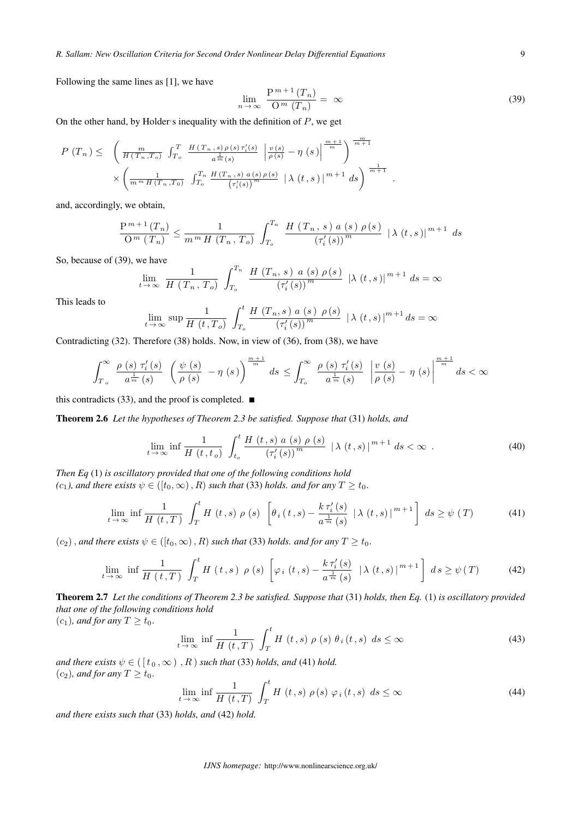Following the same lines as [1], we have

$$
\lim_{n \to \infty} \frac{P^{m+1}(T_n)}{Q^m(T_n)} = \infty
$$
\n(39)

*.*

On the other hand, by Holder<sup>*s*</sup> inequality with the definition of  $P$ , we get

$$
P(T_n) \leq \left( \frac{m}{H(T_n, T_o)} \int_{T_o}^{T} \frac{H(T_n, s) \rho(s) \tau_i'(s)}{a^{\frac{1}{m}}(s)} \left| \frac{v(s)}{\rho(s)} - \eta(s) \right|^{\frac{m+1}{m}} \right)^{\frac{m}{m+1}} \times \left( \frac{1}{m^m H(T_n, T_0)} \int_{T_o}^{T_n} \frac{H(T_n, s) a(s) \rho(s)}{\left(\tau_i'(s)\right)^m} \left| \lambda(t, s) \right|^{m+1} ds \right)^{\frac{1}{m+1}}
$$

and, accordingly, we obtain,

$$
\frac{P^{m+1}(T_n)}{O^m (T_n)} \le \frac{1}{m^m H (T_n, T_o)} \int_{T_o}^{T_n} \frac{H (T_n, s) a (s) \rho(s)}{(\tau'_i(s))^m} |\lambda(t, s)|^{m+1} ds
$$

So, because of (39), we have

$$
\lim_{t \to \infty} \frac{1}{H(T_n, T_o)} \int_{T_o}^{T_n} \frac{H(T_n, s) \ a \ (s) \ \rho(s)}{(\tau'_i(s))^m} \ |\lambda \ (t, s)|^{m+1} ds = \infty
$$

This leads to

$$
\lim_{t \to \infty} \sup \frac{1}{H(t, T_o)} \int_{T_o}^t \frac{H(T_n, s) \ a \ (s) \ \rho(s)}{(\tau'_i(s))^m} \ |\ \lambda \ (t, s) \ |^{m+1} ds = \infty
$$

Contradicting (32). Therefore (38) holds. Now, in view of (36), from (38), we have

$$
\int_{T_o}^{\infty} \frac{\rho(s) \tau'_i(s)}{a^{\frac{1}{m}}(s)} \left(\frac{\psi(s)}{\rho(s)} - \eta(s)\right)^{\frac{m+1}{m}} ds \le \int_{T_o}^{\infty} \frac{\rho(s) \tau'_i(s)}{a^{\frac{1}{m}}(s)} \left|\frac{v(s)}{\rho(s)} - \eta(s)\right|^{\frac{m+1}{m}} ds < \infty
$$

this contradicts (33), and the proof is completed.  $\blacksquare$ 

Theorem 2.6 *Let the hypotheses of Theorem 2.3 be satisfied. Suppose that* (31) *holds, and*

$$
\lim_{t \to \infty} \inf \frac{1}{H(t, t_o)} \int_{t_o}^t \frac{H(t, s) \ a \ (s) \ \rho \ (s)}{\left(\tau'_i \ (s)\right)^m} \ |\ \lambda \ (t, s) \ |^{m+1} \ ds < \infty \ . \tag{40}
$$

*Then Eq* (1) *is oscillatory provided that one of the following conditions hold*  $(c_1)$ , and there exists  $\psi \in (\lbrack t_0, \infty)$ , *R*) such that (33) holds. and for any  $T \geq t_0$ .

$$
\lim_{t \to \infty} \inf \frac{1}{H(t,T)} \int_{T}^{t} H(t,s) \rho(s) \left[ \theta_i(t,s) - \frac{k \tau_i'(s)}{a^{\frac{1}{m}}(s)} \left| \lambda(t,s) \right|^{m+1} \right] ds \ge \psi(T) \tag{41}
$$

 $(c_2)$ *, and there exists*  $\psi \in ([t_0, \infty), R)$  such that (33) holds. and for any  $T \ge t_0$ .

$$
\lim_{t \to \infty} \inf \frac{1}{H(t,T)} \int_{T}^{t} H(t,s) \rho(s) \left[ \varphi_{i}(t,s) - \frac{k \tau_{i}'(s)}{a^{\frac{1}{m}}(s)} \left| \lambda(t,s) \right|^{m+1} \right] ds \geq \psi(T) \tag{42}
$$

Theorem 2.7 *Let the conditions of Theorem 2.3 be satisfied. Suppose that* (31) *holds, then Eq.* (1) *is oscillatory provided that one of the following conditions hold*

 $(c_1)$ *, and for any*  $T \ge t_0$ *.* 

$$
\lim_{t \to \infty} \inf \frac{1}{H(t,T)} \int_{T}^{t} H(t,s) \rho(s) \theta_i(t,s) ds \leq \infty
$$
\n(43)

*and there exists*  $\psi \in ([t_0, \infty), R)$  *such that* (33) *holds, and* (41) *hold.*  $(c_2)$ *, and for any*  $T \ge t_0$ *.* 

$$
\lim_{t \to \infty} \inf \frac{1}{H(t,T)} \int_{T}^{t} H(t,s) \rho(s) \varphi_i(t,s) ds \leq \infty
$$
\n(44)

*and there exists such that* (33) *holds, and* (42) *hold.*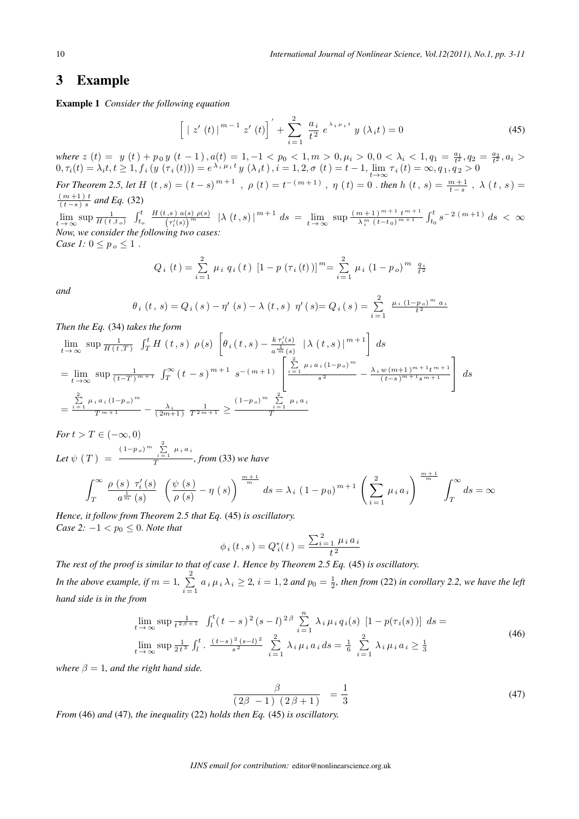# 3 Example

Example 1 *Consider the following equation*

$$
\[ \; | \; z' \left( t \right) \, \bigr]^{m-1} \; z' \left( t \right) \Big]^{'} + \sum_{i=1}^{2} \; \frac{a_i}{t^2} \; e^{\lambda_i \, \mu_i \, t} \; y \left( \lambda_i t \right) = 0 \tag{45}
$$

 $where \ z(t) = y(t) + p_0 y(t-1), a(t) = 1, -1 < p_0 < 1, m > 0, \mu_i > 0, 0 < \lambda_i < 1, q_1 = \frac{a_1}{t^2}, q_2 = \frac{a_2}{t^2}, a_i > 0, 0 < \frac{a_1}{t}, a_i > 0, 0 < \frac{a_2}{t}, a_i > 0, 0 < a_i > 0, 0 < a_i < 1, a_i > 0, 0 < a_i < 1, a_i > 0, 0 < a_i < 1, a_i > 0, 0 < a_i < a_i < a_i > 0$  $(0, \tau_i(t) = \lambda_i t, t \ge 1, f_i(y(\tau_i(t))) = e^{\lambda_i \mu_i t} y(\lambda_i t), i = 1, 2, \sigma(t) = t - 1, \lim_{t \to \infty} \tau_i(t) = \infty, q_1, q_2 > 0$ 

*For Theorem 2.5, let*  $H(t,s) = (t-s)^{m+1}$ ,  $\rho(t) = t^{-(m+1)}$ ,  $\eta(t) = 0$ . *then*  $h(t,s) = \frac{m+1}{t-s}$ ,  $\lambda(t,s) = (t-s)^{m+1}$  $\frac{(m+1)t}{(t-s)s}$  and Eq. (32)

( *−* )  $\lim_{t \to \infty} \sup \frac{1}{H(t,t_o)} \int_{t_o}^t$  $H(t, s)$   $a(s)$   $\rho(s)$  $\int_{(\tau'_i(s))^m}^{(\tau(s),s)} \rho(s) \, d\mu(s) = \lim_{t \to \infty} \sup \frac{(m+1)^{m+1} t^{m+1}}{\lambda_i^m (t-t_0)^{m+1}}$  $\frac{(m+1)^{m+1} t^{m+1}}{\lambda_i^m (t-t_0)^{m+1}} \int_{t_0}^t s^{-2(m+1)} ds < \infty$ *Now, we consider the following two cases:*

*Case 1:*  $0 \leq p_o \leq 1$ .

$$
Q_i(t) = \sum_{i=1}^{2} \mu_i q_i(t) [1 - p(\tau_i(t))]^m = \sum_{i=1}^{2} \mu_i (1 - p_o)^m \frac{q_i}{t^2}
$$

*and*

$$
\theta_{i}(t,s) = Q_{i}(s) - \eta'(s) - \lambda(t,s) \eta'(s) = Q_{i}(s) = \sum_{i=1}^{2} \frac{\mu_{i}(1-p_{o})^{m} a_{i}}{t^{2}}
$$

*Then the Eq.* (34) *takes the form*

$$
\lim_{t \to \infty} \sup \frac{1}{H(t,T)} \int_T^t H(t,s) \rho(s) \left[ \theta_i(t,s) - \frac{k \tau'_i(s)}{a^{\frac{1}{m}}(s)} \left| \lambda(t,s) \right|^{m+1} \right] ds
$$
\n
$$
= \lim_{t \to \infty} \sup \frac{1}{(t-T)^{m+1}} \int_T^{\infty} (t-s)^{m+1} s^{-(m+1)} \left[ \frac{\sum_{i=1}^2 \mu_i a_i (1-p_o)^m}{s^2} - \frac{\lambda_i w (m+1)^{m+1} t^{m+1}}{(t-s)^{m+1} s^{m+1}} \right] ds
$$
\n
$$
= \frac{\sum_{i=1}^2 \mu_i a_i (1-p_o)^m}{T^{m+1}} - \frac{\lambda_i}{(2m+1)} \frac{1}{T^{2m+1}} \ge \frac{(1-p_o)^m \sum_{i=1}^2 \mu_i a_i}{T}
$$

*For*  $t > T \in (-\infty, 0)$ Let  $\psi$  (  $T$  )  $=$  $(1-p<sub>o</sub>)<sup>m</sup>$   $\sum_{i=1}^{2}$   $\mu_i a_i$ *, from* (33) *we have*

$$
\int_{T}^{\infty} \frac{\rho(s) \tau'_{i}(s)}{a^{\frac{1}{m}}(s)} \left(\frac{\psi(s)}{\rho(s)} - \eta(s)\right)^{\frac{m+1}{m}} ds = \lambda_{i} (1 - p_{0})^{m+1} \left(\sum_{i=1}^{2} \mu_{i} a_{i}\right)^{\frac{m+1}{m}} \int_{T}^{\infty} ds = \infty
$$

*Hence, it follow from Theorem 2.5 that Eq.* (45) *is oscillatory. Case 2:*  $-1 < p_0 \leq 0$ *. Note that* 

$$
\phi_i(t, s) = Q_i^*(t) = \frac{\sum_{i=1}^2 \mu_i a_i}{t^2}
$$

*The rest of the proof is similar to that of case 1. Hence by Theorem 2.5 Eq.* (45) *is oscillatory. In the above example, if*  $m = 1, \sum_{i=1}^{2}$  $\sum_{i=1}^{\infty} a_i \mu_i \lambda_i \ge 2$ ,  $i = 1, 2$  and  $p_0 = \frac{1}{2}$ , then from (22) in corollary 2.2, we have the left *hand side is in the from*

$$
\lim_{t \to \infty} \sup \frac{1}{t^{2\beta+1}} \int_{l}^{t} (t-s)^{2} (s-l)^{2\beta} \sum_{i=1}^{n} \lambda_{i} \mu_{i} q_{i}(s) [1 - p(\tau_{i}(s))] ds =
$$
\n
$$
\lim_{t \to \infty} \sup \frac{1}{2t^{3}} \int_{l}^{t} \frac{(t-s)^{2} (s-l)^{2}}{s^{2}} \sum_{i=1}^{2} \lambda_{i} \mu_{i} a_{i} ds = \frac{1}{6} \sum_{i=1}^{2} \lambda_{i} \mu_{i} a_{i} \ge \frac{1}{3}
$$
\n(46)

*where*  $\beta = 1$ *, and the right hand side.* 

$$
\frac{\beta}{(2\beta - 1)(2\beta + 1)} = \frac{1}{3} \tag{47}
$$

*From* (46) *and* (47)*, the inequality* (22) *holds then Eq.* (45) *is oscillatory.*